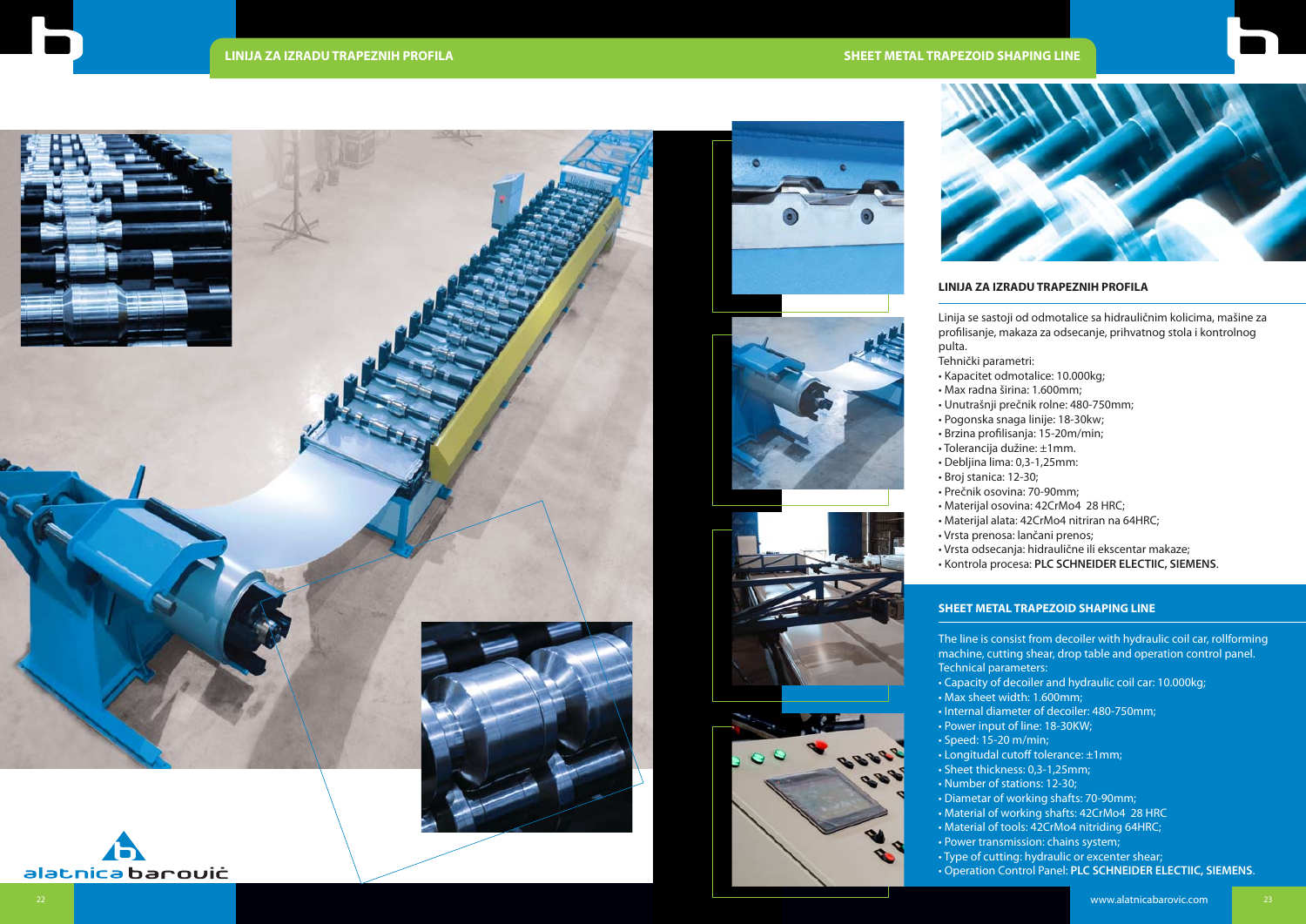## **SHEET METAL TRAPEZOID SHAPING LINE**



## **LINIJA ZA IZRADU TRAPEZNIH PROFILA**

Linija se sastoji od odmotalice sa hidrauličnim kolicima, mašine za profilisanje, makaza za odsecanje, prihvatnog stola i kontrolnog

- pulta. Tehnički parametri:
- 
- 
- Pogonska snaga linije: 18-30kw;
- 
- 
- Broj stanica: 12-30;
- 
- 
- 
- 
- 
- Kapacitet odmotalice: 10.000kg;
- Max radna širina: 1.600mm;
- Unutrašnji prečnik rolne: 480-750mm;
- Brzina profilisanja: 15-20m/min;
- Tolerancija dužine: ±1mm.
- Debljina lima: 0,3-1,25mm:
	-
- Prečnik osovina: 70-90mm;
- Materijal osovina: 42CrMo4 28 HRC;
- Materijal alata: 42CrMo4 nitriran na 64HRC;
- Vrsta prenosa: lančani prenos;
- Vrsta odsecanja: hidraulične ili ekscentar makaze;
- Kontrola procesa: **PLC SCHNEIDER ELECTIIC, SIEMENS**.

## **SHEET METAL TRAPEZOID SHAPING LINE**

- 
- The line is consist from decoiler with hydraulic coil car, rollforming machine, cutting shear, drop table and operation control panel. Technical parameters:
- 
- 
- 
- Speed: 15-20 m/min;
- Longitudal cutoff tolerance: ±1mm;
- 
- 
- 
- 
- 
- 
- 







- Capacity of decoiler and hydraulic coil car: 10.000kg;
- Max sheet width: 1.600mm;
- Internal diameter of decoiler: 480-750mm;
- Power input of line: 18-30KW;
- Sheet thickness: 0,3-1,25mm;
- Number of stations: 12-30;
- Diametar of working shafts: 70-90mm;
- Material of working shafts: 42CrMo4 28 HRC
- Material of tools: 42CrMo4 nitriding 64HRC;
- Power transmission: chains system;
- Type of cutting: hydraulic or excenter shear;
- Operation Control Panel: **PLC SCHNEIDER ELECTIIC, SIEMENS**.





alatnica barouiċ